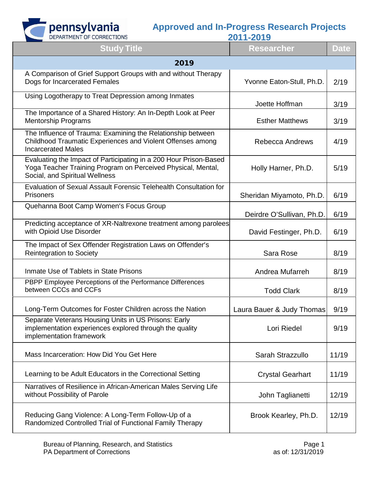

| <b>Study Title</b>                                                                                                                                                  | ZV I I ZV I J<br><b>Researcher</b> | <b>Date</b> |
|---------------------------------------------------------------------------------------------------------------------------------------------------------------------|------------------------------------|-------------|
| 2019                                                                                                                                                                |                                    |             |
| A Comparison of Grief Support Groups with and without Therapy<br>Dogs for Incarcerated Females                                                                      | Yvonne Eaton-Stull, Ph.D.          | 2/19        |
| Using Logotherapy to Treat Depression among Inmates                                                                                                                 | Joette Hoffman                     | 3/19        |
| The Importance of a Shared History: An In-Depth Look at Peer<br><b>Mentorship Programs</b>                                                                          | <b>Esther Matthews</b>             | 3/19        |
| The Influence of Trauma: Examining the Relationship between<br>Childhood Traumatic Experiences and Violent Offenses among<br><b>Incarcerated Males</b>              | <b>Rebecca Andrews</b>             | 4/19        |
| Evaluating the Impact of Participating in a 200 Hour Prison-Based<br>Yoga Teacher Training Program on Perceived Physical, Mental,<br>Social, and Spiritual Wellness | Holly Harner, Ph.D.                | 5/19        |
| Evaluation of Sexual Assault Forensic Telehealth Consultation for<br><b>Prisoners</b>                                                                               | Sheridan Miyamoto, Ph.D.           | 6/19        |
| Quehanna Boot Camp Women's Focus Group                                                                                                                              | Deirdre O'Sullivan, Ph.D.          | 6/19        |
| Predicting acceptance of XR-Naltrexone treatment among parolees<br>with Opioid Use Disorder                                                                         | David Festinger, Ph.D.             | 6/19        |
| The Impact of Sex Offender Registration Laws on Offender's<br><b>Reintegration to Society</b>                                                                       | Sara Rose                          | 8/19        |
| Inmate Use of Tablets in State Prisons                                                                                                                              | Andrea Mufarreh                    | 8/19        |
| PBPP Employee Perceptions of the Performance Differences<br>between CCCs and CCFs                                                                                   | <b>Todd Clark</b>                  | 8/19        |
| Long-Term Outcomes for Foster Children across the Nation                                                                                                            | Laura Bauer & Judy Thomas          | 9/19        |
| Separate Veterans Housing Units in US Prisons: Early<br>implementation experiences explored through the quality<br>implementation framework                         | Lori Riedel                        | 9/19        |
| Mass Incarceration: How Did You Get Here                                                                                                                            | Sarah Strazzullo                   | 11/19       |
| Learning to be Adult Educators in the Correctional Setting                                                                                                          | <b>Crystal Gearhart</b>            | 11/19       |
| Narratives of Resilience in African-American Males Serving Life<br>without Possibility of Parole                                                                    | John Taglianetti                   | 12/19       |
| Reducing Gang Violence: A Long-Term Follow-Up of a<br>Randomized Controlled Trial of Functional Family Therapy                                                      | Brook Kearley, Ph.D.               | 12/19       |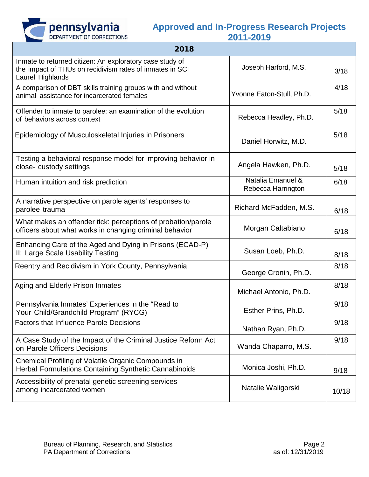

| 2018                                                                                                                                     |                                         |       |
|------------------------------------------------------------------------------------------------------------------------------------------|-----------------------------------------|-------|
| Inmate to returned citizen: An exploratory case study of<br>the impact of THUs on recidivism rates of inmates in SCI<br>Laurel Highlands | Joseph Harford, M.S.                    | 3/18  |
| A comparison of DBT skills training groups with and without<br>animal assistance for incarcerated females                                | Yvonne Eaton-Stull, Ph.D.               | 4/18  |
| Offender to inmate to parolee: an examination of the evolution<br>of behaviors across context                                            | Rebecca Headley, Ph.D.                  | 5/18  |
| Epidemiology of Musculoskeletal Injuries in Prisoners                                                                                    | Daniel Horwitz, M.D.                    | 5/18  |
| Testing a behavioral response model for improving behavior in<br>close-custody settings                                                  | Angela Hawken, Ph.D.                    | 5/18  |
| Human intuition and risk prediction                                                                                                      | Natalia Emanuel &<br>Rebecca Harrington | 6/18  |
| A narrative perspective on parole agents' responses to<br>parolee trauma                                                                 | Richard McFadden, M.S.                  | 6/18  |
| What makes an offender tick: perceptions of probation/parole<br>officers about what works in changing criminal behavior                  | Morgan Caltabiano                       | 6/18  |
| Enhancing Care of the Aged and Dying in Prisons (ECAD-P)<br>II: Large Scale Usability Testing                                            | Susan Loeb, Ph.D.                       | 8/18  |
| Reentry and Recidivism in York County, Pennsylvania                                                                                      | George Cronin, Ph.D.                    | 8/18  |
| Aging and Elderly Prison Inmates                                                                                                         | Michael Antonio, Ph.D.                  | 8/18  |
| Pennsylvania Inmates' Experiences in the "Read to<br>Your Child/Grandchild Program" (RYCG)                                               | Esther Prins, Ph.D.                     | 9/18  |
| <b>Factors that Influence Parole Decisions</b>                                                                                           | Nathan Ryan, Ph.D.                      | 9/18  |
| A Case Study of the Impact of the Criminal Justice Reform Act<br>on Parole Officers Decisions                                            | Wanda Chaparro, M.S.                    | 9/18  |
| Chemical Profiling of Volatile Organic Compounds in<br>Herbal Formulations Containing Synthetic Cannabinoids                             | Monica Joshi, Ph.D.                     | 9/18  |
| Accessibility of prenatal genetic screening services<br>among incarcerated women                                                         | Natalie Waligorski                      | 10/18 |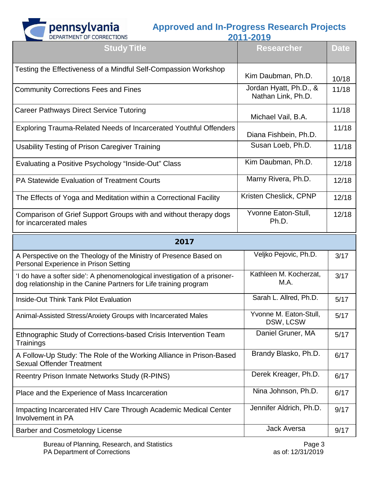

| DEPARTMENT OF CORRECTIONS                                                                                                                       | 2011-2019                                    |             |
|-------------------------------------------------------------------------------------------------------------------------------------------------|----------------------------------------------|-------------|
| <b>Study Title</b>                                                                                                                              | <b>Researcher</b>                            | <b>Date</b> |
| Testing the Effectiveness of a Mindful Self-Compassion Workshop                                                                                 | Kim Daubman, Ph.D.                           | 10/18       |
| <b>Community Corrections Fees and Fines</b>                                                                                                     | Jordan Hyatt, Ph.D., &<br>Nathan Link, Ph.D. | 11/18       |
| <b>Career Pathways Direct Service Tutoring</b>                                                                                                  | Michael Vail, B.A.                           | 11/18       |
| Exploring Trauma-Related Needs of Incarcerated Youthful Offenders                                                                               | Diana Fishbein, Ph.D.                        | 11/18       |
| Usability Testing of Prison Caregiver Training                                                                                                  | Susan Loeb, Ph.D.                            | 11/18       |
| Evaluating a Positive Psychology "Inside-Out" Class                                                                                             | Kim Daubman, Ph.D.                           | 12/18       |
| PA Statewide Evaluation of Treatment Courts                                                                                                     | Marny Rivera, Ph.D.                          | 12/18       |
| The Effects of Yoga and Meditation within a Correctional Facility                                                                               | Kristen Cheslick, CPNP                       | 12/18       |
| Comparison of Grief Support Groups with and without therapy dogs<br>for incarcerated males                                                      | Yvonne Eaton-Stull,<br>Ph.D.                 | 12/18       |
| 2017                                                                                                                                            |                                              |             |
| A Perspective on the Theology of the Ministry of Presence Based on<br>Personal Experience in Prison Setting                                     | Veljko Pejovic, Ph.D.                        | 3/17        |
| 'I do have a softer side': A phenomenological investigation of a prisoner-<br>dog relationship in the Canine Partners for Life training program | Kathleen M. Kocherzat.<br>M.A.               | 3/17        |
| <b>Inside-Out Think Tank Pilot Evaluation</b>                                                                                                   | Sarah L. Allred, Ph.D.                       | 5/17        |
| Animal-Assisted Stress/Anxiety Groups with Incarcerated Males                                                                                   | Yvonne M. Eaton-Stull,<br>DSW, LCSW          | 5/17        |
| Ethnographic Study of Corrections-based Crisis Intervention Team<br>Trainings                                                                   | Daniel Gruner, MA                            | 5/17        |
| A Follow-Up Study: The Role of the Working Alliance in Prison-Based<br><b>Sexual Offender Treatment</b>                                         | Brandy Blasko, Ph.D.                         | 6/17        |
| <b>Reentry Prison Inmate Networks Study (R-PINS)</b>                                                                                            | Derek Kreager, Ph.D.                         | 6/17        |
| Place and the Experience of Mass Incarceration                                                                                                  | Nina Johnson, Ph.D.                          | 6/17        |
|                                                                                                                                                 |                                              |             |
| Impacting Incarcerated HIV Care Through Academic Medical Center<br>Involvement in PA                                                            | Jennifer Aldrich, Ph.D.                      | 9/17        |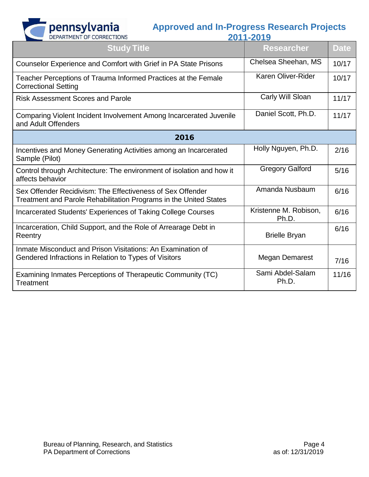

|  | - | - |  |  |  |
|--|---|---|--|--|--|
|  |   |   |  |  |  |

| <b>Study Title</b>                                                                                                              | <b>Researcher</b>              | <b>Date</b> |
|---------------------------------------------------------------------------------------------------------------------------------|--------------------------------|-------------|
| Counselor Experience and Comfort with Grief in PA State Prisons                                                                 | Chelsea Sheehan, MS            | 10/17       |
| Teacher Perceptions of Trauma Informed Practices at the Female<br><b>Correctional Setting</b>                                   | Karen Oliver-Rider             | 10/17       |
| <b>Risk Assessment Scores and Parole</b>                                                                                        | Carly Will Sloan               | 11/17       |
| Comparing Violent Incident Involvement Among Incarcerated Juvenile<br>and Adult Offenders                                       | Daniel Scott, Ph.D.            | 11/17       |
| 2016                                                                                                                            |                                |             |
| Incentives and Money Generating Activities among an Incarcerated<br>Sample (Pilot)                                              | Holly Nguyen, Ph.D.            | 2/16        |
| Control through Architecture: The environment of isolation and how it<br>affects behavior                                       | <b>Gregory Galford</b>         | 5/16        |
| Sex Offender Recidivism: The Effectiveness of Sex Offender<br>Treatment and Parole Rehabilitation Programs in the United States | Amanda Nusbaum                 | 6/16        |
| Incarcerated Students' Experiences of Taking College Courses                                                                    | Kristenne M. Robison,<br>Ph.D. | 6/16        |
| Incarceration, Child Support, and the Role of Arrearage Debt in<br>Reentry                                                      | <b>Brielle Bryan</b>           | 6/16        |
| Inmate Misconduct and Prison Visitations: An Examination of<br>Gendered Infractions in Relation to Types of Visitors            | <b>Megan Demarest</b>          | 7/16        |
| Examining Inmates Perceptions of Therapeutic Community (TC)<br>Treatment                                                        | Sami Abdel-Salam<br>Ph.D.      | 11/16       |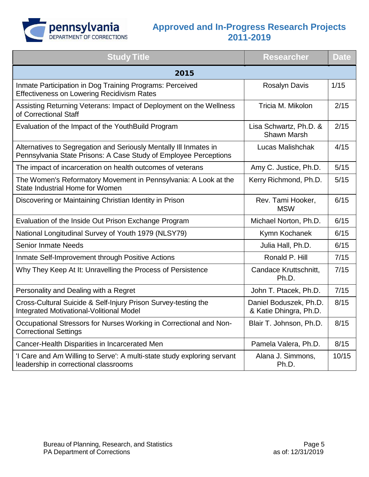

| <b>Study Title</b>                                                                                                                    | <b>Researcher</b>                                | <b>Date</b> |  |  |  |
|---------------------------------------------------------------------------------------------------------------------------------------|--------------------------------------------------|-------------|--|--|--|
| 2015                                                                                                                                  |                                                  |             |  |  |  |
| Inmate Participation in Dog Training Programs: Perceived<br><b>Effectiveness on Lowering Recidivism Rates</b>                         | <b>Rosalyn Davis</b>                             | 1/15        |  |  |  |
| Assisting Returning Veterans: Impact of Deployment on the Wellness<br>of Correctional Staff                                           | Tricia M. Mikolon                                | 2/15        |  |  |  |
| Evaluation of the Impact of the YouthBuild Program                                                                                    | Lisa Schwartz, Ph.D. &<br><b>Shawn Marsh</b>     | 2/15        |  |  |  |
| Alternatives to Segregation and Seriously Mentally III Inmates in<br>Pennsylvania State Prisons: A Case Study of Employee Perceptions | Lucas Malishchak                                 | 4/15        |  |  |  |
| The impact of incarceration on health outcomes of veterans                                                                            | Amy C. Justice, Ph.D.                            | 5/15        |  |  |  |
| The Women's Reformatory Movement in Pennsylvania: A Look at the<br>State Industrial Home for Women                                    | Kerry Richmond, Ph.D.                            | 5/15        |  |  |  |
| Discovering or Maintaining Christian Identity in Prison                                                                               | Rev. Tami Hooker,<br><b>MSW</b>                  | 6/15        |  |  |  |
| Evaluation of the Inside Out Prison Exchange Program                                                                                  | Michael Norton, Ph.D.                            | 6/15        |  |  |  |
| National Longitudinal Survey of Youth 1979 (NLSY79)                                                                                   | Kymn Kochanek                                    | 6/15        |  |  |  |
| <b>Senior Inmate Needs</b>                                                                                                            | Julia Hall, Ph.D.                                | 6/15        |  |  |  |
| Inmate Self-Improvement through Positive Actions                                                                                      | Ronald P. Hill                                   | 7/15        |  |  |  |
| Why They Keep At It: Unravelling the Process of Persistence                                                                           | Candace Kruttschnitt,<br>Ph.D.                   | 7/15        |  |  |  |
| Personality and Dealing with a Regret                                                                                                 | John T. Ptacek, Ph.D.                            | 7/15        |  |  |  |
| Cross-Cultural Suicide & Self-Injury Prison Survey-testing the<br>Integrated Motivational-Volitional Model                            | Daniel Boduszek, Ph.D.<br>& Katie Dhingra, Ph.D. | 8/15        |  |  |  |
| Occupational Stressors for Nurses Working in Correctional and Non-<br><b>Correctional Settings</b>                                    | Blair T. Johnson, Ph.D.                          | 8/15        |  |  |  |
| Cancer-Health Disparities in Incarcerated Men                                                                                         | Pamela Valera, Ph.D.                             | 8/15        |  |  |  |
| 'I Care and Am Willing to Serve': A multi-state study exploring servant<br>leadership in correctional classrooms                      | Alana J. Simmons,<br>Ph.D.                       | 10/15       |  |  |  |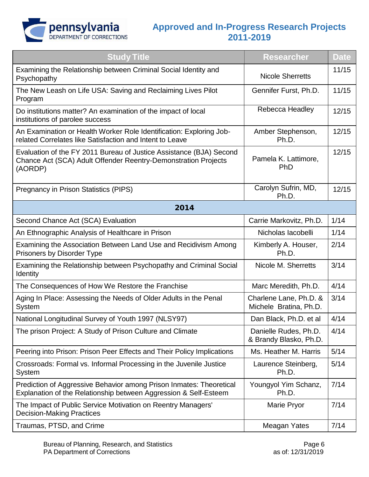

| <b>Study Title</b>                                                                                                                               | <b>Researcher</b>                                | <b>Date</b> |
|--------------------------------------------------------------------------------------------------------------------------------------------------|--------------------------------------------------|-------------|
| Examining the Relationship between Criminal Social Identity and<br>Psychopathy                                                                   | <b>Nicole Sherretts</b>                          | 11/15       |
| The New Leash on Life USA: Saving and Reclaiming Lives Pilot<br>Program                                                                          | Gennifer Furst, Ph.D.                            | 11/15       |
| Do institutions matter? An examination of the impact of local<br>institutions of parolee success                                                 | Rebecca Headley                                  | 12/15       |
| An Examination or Health Worker Role Identification: Exploring Job-<br>related Correlates like Satisfaction and Intent to Leave                  | Amber Stephenson,<br>Ph.D.                       | 12/15       |
| Evaluation of the FY 2011 Bureau of Justice Assistance (BJA) Second<br>Chance Act (SCA) Adult Offender Reentry-Demonstration Projects<br>(AORDP) | Pamela K. Lattimore,<br>PhD                      | 12/15       |
| Pregnancy in Prison Statistics (PIPS)                                                                                                            | Carolyn Sufrin, MD,<br>Ph.D.                     | 12/15       |
| 2014                                                                                                                                             |                                                  |             |
| Second Chance Act (SCA) Evaluation                                                                                                               | Carrie Markovitz, Ph.D.                          | 1/14        |
| An Ethnographic Analysis of Healthcare in Prison                                                                                                 | Nicholas Iacobelli                               | 1/14        |
| Examining the Association Between Land Use and Recidivism Among<br>Prisoners by Disorder Type                                                    | Kimberly A. Houser,<br>Ph.D.                     | 2/14        |
| Examining the Relationship between Psychopathy and Criminal Social<br><b>Identity</b>                                                            | Nicole M. Sherretts                              | 3/14        |
| The Consequences of How We Restore the Franchise                                                                                                 | Marc Meredith, Ph.D.                             | 4/14        |
| Aging In Place: Assessing the Needs of Older Adults in the Penal<br>System                                                                       | Charlene Lane, Ph.D. &<br>Michele Bratina, Ph.D. | 3/14        |
| National Longitudinal Survey of Youth 1997 (NLSY97)                                                                                              | Dan Black, Ph.D. et al                           | 4/14        |
| The prison Project: A Study of Prison Culture and Climate                                                                                        | Danielle Rudes, Ph.D.<br>& Brandy Blasko, Ph.D.  | 4/14        |
| Peering into Prison: Prison Peer Effects and Their Policy Implications                                                                           | Ms. Heather M. Harris                            | 5/14        |
| Crossroads: Formal vs. Informal Processing in the Juvenile Justice<br>System                                                                     | Laurence Steinberg,<br>Ph.D.                     | 5/14        |
| Prediction of Aggressive Behavior among Prison Inmates: Theoretical<br>Explanation of the Relationship between Aggression & Self-Esteem          | Youngyol Yim Schanz,<br>Ph.D.                    | 7/14        |
| The Impact of Public Service Motivation on Reentry Managers'<br><b>Decision-Making Practices</b>                                                 | Marie Pryor                                      | 7/14        |
| Traumas, PTSD, and Crime                                                                                                                         | Meagan Yates                                     | 7/14        |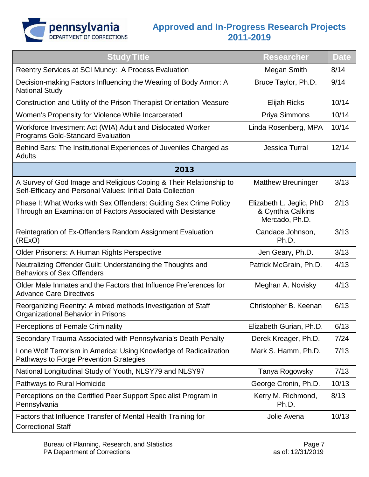

| <b>Study Title</b>                                                                                                               | <b>Researcher</b>                                               | <b>Date</b> |
|----------------------------------------------------------------------------------------------------------------------------------|-----------------------------------------------------------------|-------------|
| Reentry Services at SCI Muncy: A Process Evaluation                                                                              | Megan Smith                                                     | 8/14        |
| Decision-making Factors Influencing the Wearing of Body Armor: A<br><b>National Study</b>                                        | Bruce Taylor, Ph.D.                                             | 9/14        |
| Construction and Utility of the Prison Therapist Orientation Measure                                                             | <b>Elijah Ricks</b>                                             | 10/14       |
| Women's Propensity for Violence While Incarcerated                                                                               | Priya Simmons                                                   | 10/14       |
| Workforce Investment Act (WIA) Adult and Dislocated Worker<br><b>Programs Gold-Standard Evaluation</b>                           | Linda Rosenberg, MPA                                            | 10/14       |
| Behind Bars: The Institutional Experiences of Juveniles Charged as<br>Adults                                                     | Jessica Turral                                                  | 12/14       |
| 2013                                                                                                                             |                                                                 |             |
| A Survey of God Image and Religious Coping & Their Relationship to<br>Self-Efficacy and Personal Values: Initial Data Collection | <b>Matthew Breuninger</b>                                       | 3/13        |
| Phase I: What Works with Sex Offenders: Guiding Sex Crime Policy<br>Through an Examination of Factors Associated with Desistance | Elizabeth L. Jeglic, PhD<br>& Cynthia Calkins<br>Mercado, Ph.D. | 2/13        |
| Reintegration of Ex-Offenders Random Assignment Evaluation<br>(RExO)                                                             | Candace Johnson,<br>Ph.D.                                       | 3/13        |
| <b>Older Prisoners: A Human Rights Perspective</b>                                                                               | Jen Geary, Ph.D.                                                | 3/13        |
| Neutralizing Offender Guilt: Understanding the Thoughts and<br><b>Behaviors of Sex Offenders</b>                                 | Patrick McGrain, Ph.D.                                          | 4/13        |
| Older Male Inmates and the Factors that Influence Preferences for<br><b>Advance Care Directives</b>                              | Meghan A. Novisky                                               | 4/13        |
| Reorganizing Reentry: A mixed methods Investigation of Staff<br>Organizational Behavior in Prisons                               | Christopher B. Keenan                                           | 6/13        |
| <b>Perceptions of Female Criminality</b>                                                                                         | Elizabeth Gurian, Ph.D.                                         | 6/13        |
| Secondary Trauma Associated with Pennsylvania's Death Penalty                                                                    | Derek Kreager, Ph.D.                                            | 7/24        |
| Lone Wolf Terrorism in America: Using Knowledge of Radicalization<br>Pathways to Forge Prevention Strategies                     | Mark S. Hamm, Ph.D.                                             | 7/13        |
| National Longitudinal Study of Youth, NLSY79 and NLSY97                                                                          | Tanya Rogowsky                                                  | 7/13        |
| Pathways to Rural Homicide                                                                                                       | George Cronin, Ph.D.                                            | 10/13       |
| Perceptions on the Certified Peer Support Specialist Program in<br>Pennsylvania                                                  | Kerry M. Richmond,<br>Ph.D.                                     | 8/13        |
| Factors that Influence Transfer of Mental Health Training for<br><b>Correctional Staff</b>                                       | Jolie Avena                                                     | 10/13       |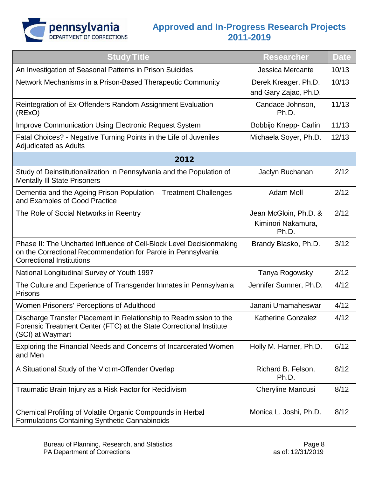

| <b>Study Title</b>                                                                                                                                                        | <b>Researcher</b>                                    | <b>Date</b> |
|---------------------------------------------------------------------------------------------------------------------------------------------------------------------------|------------------------------------------------------|-------------|
| An Investigation of Seasonal Patterns in Prison Suicides                                                                                                                  | <b>Jessica Mercante</b>                              | 10/13       |
| Network Mechanisms in a Prison-Based Therapeutic Community                                                                                                                | Derek Kreager, Ph.D.<br>and Gary Zajac, Ph.D.        | 10/13       |
| Reintegration of Ex-Offenders Random Assignment Evaluation<br>(RExO)                                                                                                      | Candace Johnson,<br>Ph.D.                            | 11/13       |
| Improve Communication Using Electronic Request System                                                                                                                     | Bobbijo Knepp- Carlin                                | 11/13       |
| Fatal Choices? - Negative Turning Points in the Life of Juveniles<br><b>Adjudicated as Adults</b>                                                                         | Michaela Soyer, Ph.D.                                | 12/13       |
| 2012                                                                                                                                                                      |                                                      |             |
| Study of Deinstitutionalization in Pennsylvania and the Population of<br><b>Mentally III State Prisoners</b>                                                              | Jaclyn Buchanan                                      | 2/12        |
| Dementia and the Ageing Prison Population - Treatment Challenges<br>and Examples of Good Practice                                                                         | <b>Adam Moll</b>                                     | 2/12        |
| The Role of Social Networks in Reentry                                                                                                                                    | Jean McGloin, Ph.D. &<br>Kiminori Nakamura,<br>Ph.D. | 2/12        |
| Phase II: The Uncharted Influence of Cell-Block Level Decisionmaking<br>on the Correctional Recommendation for Parole in Pennsylvania<br><b>Correctional Institutions</b> | Brandy Blasko, Ph.D.                                 | 3/12        |
| National Longitudinal Survey of Youth 1997                                                                                                                                | Tanya Rogowsky                                       | 2/12        |
| The Culture and Experience of Transgender Inmates in Pennsylvania<br><b>Prisons</b>                                                                                       | Jennifer Sumner, Ph.D.                               | 4/12        |
| Women Prisoners' Perceptions of Adulthood                                                                                                                                 | Janani Umamaheswar                                   | 4/12        |
| Discharge Transfer Placement in Relationship to Readmission to the<br>Forensic Treatment Center (FTC) at the State Correctional Institute<br>(SCI) at Waymart             | <b>Katherine Gonzalez</b>                            | 4/12        |
| Exploring the Financial Needs and Concerns of Incarcerated Women<br>and Men                                                                                               | Holly M. Harner, Ph.D.                               | 6/12        |
| A Situational Study of the Victim-Offender Overlap                                                                                                                        | Richard B. Felson,<br>Ph.D.                          | 8/12        |
| Traumatic Brain Injury as a Risk Factor for Recidivism                                                                                                                    | <b>Cheryline Mancusi</b>                             | 8/12        |
| Chemical Profiling of Volatile Organic Compounds in Herbal<br>Formulations Containing Synthetic Cannabinoids                                                              | Monica L. Joshi, Ph.D.                               | 8/12        |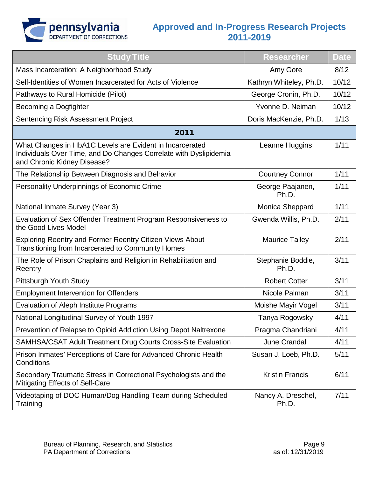

| <b>Study Title</b>                                                                                                                                           | <b>Researcher</b>           | <b>Date</b> |
|--------------------------------------------------------------------------------------------------------------------------------------------------------------|-----------------------------|-------------|
| Mass Incarceration: A Neighborhood Study                                                                                                                     | Amy Gore                    | 8/12        |
| Self-Identities of Women Incarcerated for Acts of Violence                                                                                                   | Kathryn Whiteley, Ph.D.     | 10/12       |
| Pathways to Rural Homicide (Pilot)                                                                                                                           | George Cronin, Ph.D.        | 10/12       |
| Becoming a Dogfighter                                                                                                                                        | Yvonne D. Neiman            | 10/12       |
| <b>Sentencing Risk Assessment Project</b>                                                                                                                    | Doris MacKenzie, Ph.D.      | 1/13        |
| 2011                                                                                                                                                         |                             |             |
| What Changes in HbA1C Levels are Evident in Incarcerated<br>Individuals Over Time, and Do Changes Correlate with Dyslipidemia<br>and Chronic Kidney Disease? | Leanne Huggins              | 1/11        |
| The Relationship Between Diagnosis and Behavior                                                                                                              | <b>Courtney Connor</b>      | 1/11        |
| Personality Underpinnings of Economic Crime                                                                                                                  | George Paajanen,<br>Ph.D.   | 1/11        |
| National Inmate Survey (Year 3)                                                                                                                              | Monica Sheppard             | 1/11        |
| Evaluation of Sex Offender Treatment Program Responsiveness to<br>the Good Lives Model                                                                       | Gwenda Willis, Ph.D.        | 2/11        |
| <b>Exploring Reentry and Former Reentry Citizen Views About</b><br><b>Transitioning from Incarcerated to Community Homes</b>                                 | <b>Maurice Talley</b>       | 2/11        |
| The Role of Prison Chaplains and Religion in Rehabilitation and<br>Reentry                                                                                   | Stephanie Boddie,<br>Ph.D.  | 3/11        |
| Pittsburgh Youth Study                                                                                                                                       | <b>Robert Cotter</b>        | 3/11        |
| <b>Employment Intervention for Offenders</b>                                                                                                                 | Nicole Palman               | 3/11        |
| <b>Evaluation of Aleph Institute Programs</b>                                                                                                                | Moishe Mayir Vogel          | 3/11        |
| National Longitudinal Survey of Youth 1997                                                                                                                   | Tanya Rogowsky              | 4/11        |
| Prevention of Relapse to Opioid Addiction Using Depot Naltrexone                                                                                             | Pragma Chandriani           | 4/11        |
| SAMHSA/CSAT Adult Treatment Drug Courts Cross-Site Evaluation                                                                                                | June Crandall               | 4/11        |
| Prison Inmates' Perceptions of Care for Advanced Chronic Health<br>Conditions                                                                                | Susan J. Loeb, Ph.D.        | 5/11        |
| Secondary Traumatic Stress in Correctional Psychologists and the<br>Mitigating Effects of Self-Care                                                          | <b>Kristin Francis</b>      | 6/11        |
| Videotaping of DOC Human/Dog Handling Team during Scheduled<br>Training                                                                                      | Nancy A. Dreschel,<br>Ph.D. | 7/11        |